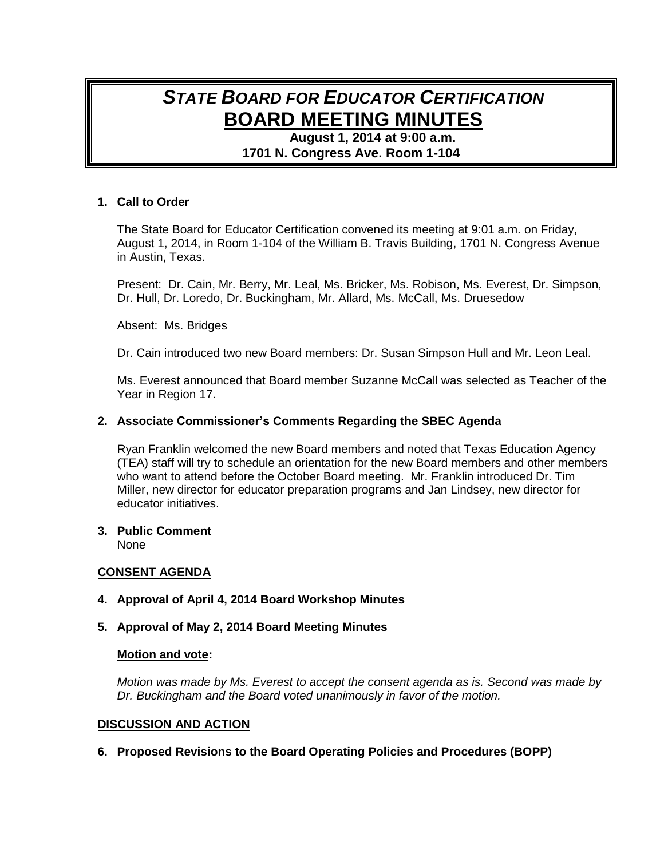# *STATE BOARD FOR EDUCATOR CERTIFICATION* **BOARD MEETING MINUTES**

**August 1, 2014 at 9:00 a.m. 1701 N. Congress Ave. Room 1-104**

## **1. Call to Order**

The State Board for Educator Certification convened its meeting at 9:01 a.m. on Friday, August 1, 2014, in Room 1-104 of the William B. Travis Building, 1701 N. Congress Avenue in Austin, Texas.

Present: Dr. Cain, Mr. Berry, Mr. Leal, Ms. Bricker, Ms. Robison, Ms. Everest, Dr. Simpson, Dr. Hull, Dr. Loredo, Dr. Buckingham, Mr. Allard, Ms. McCall, Ms. Druesedow

Absent: Ms. Bridges

Dr. Cain introduced two new Board members: Dr. Susan Simpson Hull and Mr. Leon Leal.

Ms. Everest announced that Board member Suzanne McCall was selected as Teacher of the Year in Region 17.

## **2. Associate Commissioner's Comments Regarding the SBEC Agenda**

Ryan Franklin welcomed the new Board members and noted that Texas Education Agency (TEA) staff will try to schedule an orientation for the new Board members and other members who want to attend before the October Board meeting. Mr. Franklin introduced Dr. Tim Miller, new director for educator preparation programs and Jan Lindsey, new director for educator initiatives.

# **3. Public Comment**

None

# **CONSENT AGENDA**

**4. Approval of April 4, 2014 Board Workshop Minutes** 

#### **5. Approval of May 2, 2014 Board Meeting Minutes**

#### **Motion and vote:**

*Motion was made by Ms. Everest to accept the consent agenda as is. Second was made by Dr. Buckingham and the Board voted unanimously in favor of the motion.*

#### **DISCUSSION AND ACTION**

**6. Proposed Revisions to the Board Operating Policies and Procedures (BOPP)**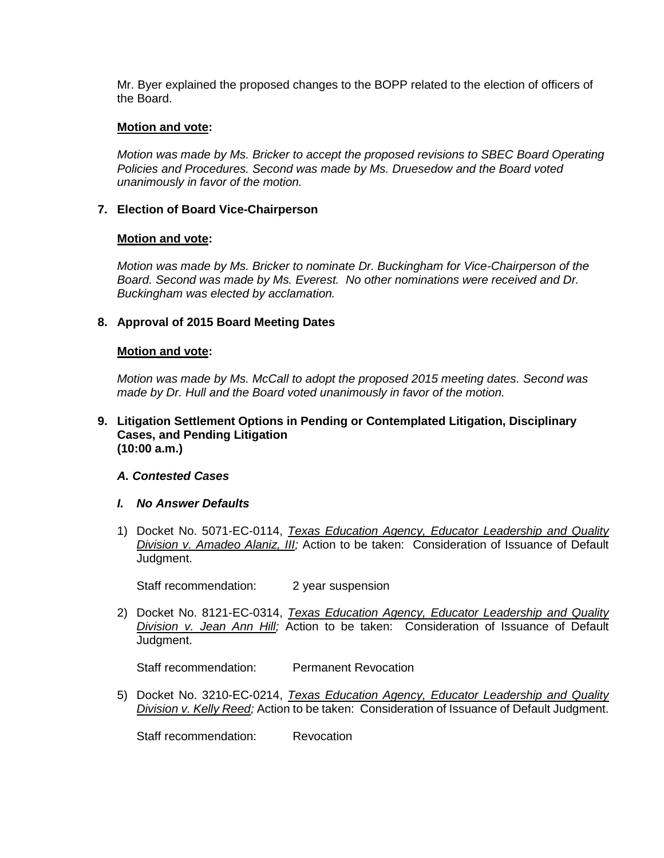Mr. Byer explained the proposed changes to the BOPP related to the election of officers of the Board.

#### **Motion and vote:**

*Motion was made by Ms. Bricker to accept the proposed revisions to SBEC Board Operating Policies and Procedures. Second was made by Ms. Druesedow and the Board voted unanimously in favor of the motion.*

## **7. Election of Board Vice-Chairperson**

#### **Motion and vote:**

*Motion was made by Ms. Bricker to nominate Dr. Buckingham for Vice-Chairperson of the Board. Second was made by Ms. Everest. No other nominations were received and Dr. Buckingham was elected by acclamation.*

## **8. Approval of 2015 Board Meeting Dates**

#### **Motion and vote:**

*Motion was made by Ms. McCall to adopt the proposed 2015 meeting dates. Second was made by Dr. Hull and the Board voted unanimously in favor of the motion.*

#### **9. Litigation Settlement Options in Pending or Contemplated Litigation, Disciplinary Cases, and Pending Litigation (10:00 a.m.)**

#### *A. Contested Cases*

#### *I. No Answer Defaults*

1) Docket No. 5071-EC-0114, *Texas Education Agency, Educator Leadership and Quality Division v. Amadeo Alaniz, III;* Action to be taken: Consideration of Issuance of Default Judgment.

Staff recommendation: 2 year suspension

2) Docket No. 8121-EC-0314, *Texas Education Agency, Educator Leadership and Quality Division v. Jean Ann Hill;* Action to be taken: Consideration of Issuance of Default Judgment.

Staff recommendation: Permanent Revocation

5) Docket No. 3210-EC-0214, *Texas Education Agency, Educator Leadership and Quality Division v. Kelly Reed;* Action to be taken: Consideration of Issuance of Default Judgment.

Staff recommendation: Revocation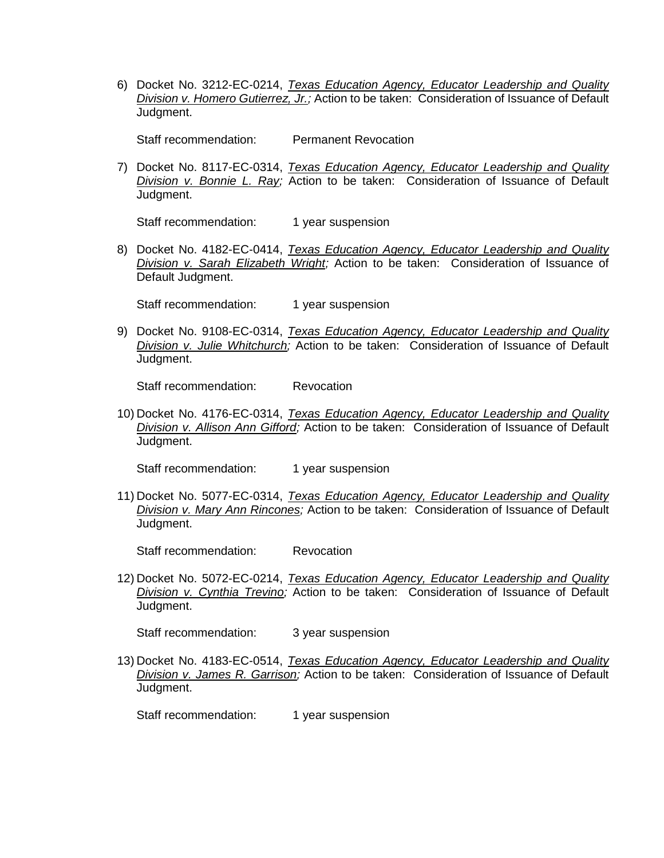6) Docket No. 3212-EC-0214, *Texas Education Agency, Educator Leadership and Quality Division v. Homero Gutierrez, Jr.;* Action to be taken: Consideration of Issuance of Default Judgment.

Staff recommendation: Permanent Revocation

7) Docket No. 8117-EC-0314, *Texas Education Agency, Educator Leadership and Quality Division v. Bonnie L. Ray;* Action to be taken: Consideration of Issuance of Default Judgment.

Staff recommendation: 1 year suspension

8) Docket No. 4182-EC-0414, *Texas Education Agency, Educator Leadership and Quality Division v. Sarah Elizabeth Wright;* Action to be taken: Consideration of Issuance of Default Judgment.

Staff recommendation: 1 year suspension

9) Docket No. 9108-EC-0314, *Texas Education Agency, Educator Leadership and Quality Division v. Julie Whitchurch;* Action to be taken: Consideration of Issuance of Default Judgment.

Staff recommendation: Revocation

10) Docket No. 4176-EC-0314, *Texas Education Agency, Educator Leadership and Quality Division v. Allison Ann Gifford;* Action to be taken: Consideration of Issuance of Default Judgment.

Staff recommendation: 1 year suspension

11) Docket No. 5077-EC-0314, *Texas Education Agency, Educator Leadership and Quality Division v. Mary Ann Rincones;* Action to be taken: Consideration of Issuance of Default Judgment.

Staff recommendation: Revocation

12) Docket No. 5072-EC-0214, *Texas Education Agency, Educator Leadership and Quality Division v. Cynthia Trevino;* Action to be taken: Consideration of Issuance of Default Judgment.

Staff recommendation: 3 year suspension

13) Docket No. 4183-EC-0514, *Texas Education Agency, Educator Leadership and Quality Division v. James R. Garrison;* Action to be taken: Consideration of Issuance of Default Judgment.

Staff recommendation: 1 year suspension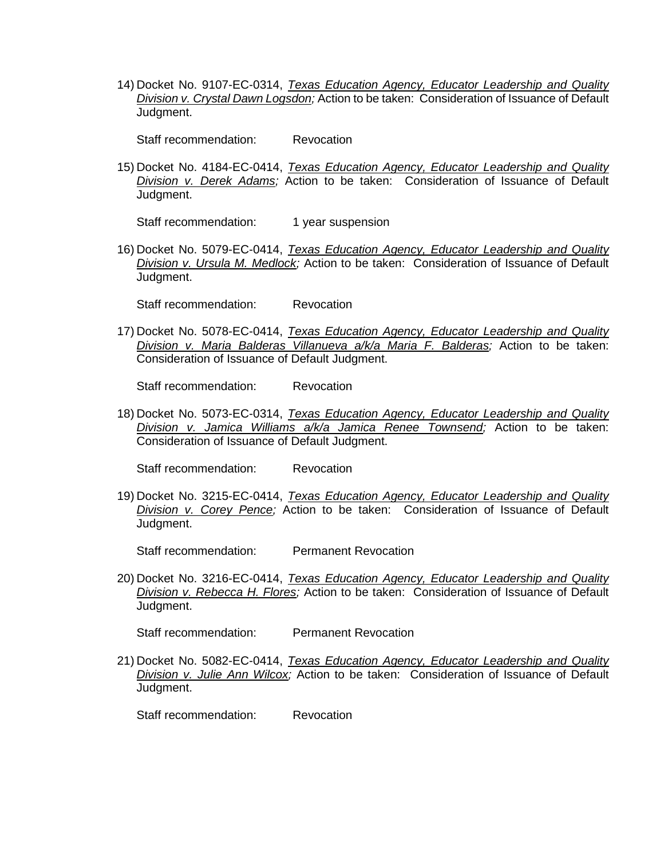14) Docket No. 9107-EC-0314, *Texas Education Agency, Educator Leadership and Quality Division v. Crystal Dawn Logsdon;* Action to be taken: Consideration of Issuance of Default Judgment.

Staff recommendation: Revocation

15) Docket No. 4184-EC-0414, *Texas Education Agency, Educator Leadership and Quality Division v. Derek Adams;* Action to be taken: Consideration of Issuance of Default Judgment.

Staff recommendation: 1 year suspension

16) Docket No. 5079-EC-0414, *Texas Education Agency, Educator Leadership and Quality Division v. Ursula M. Medlock;* Action to be taken: Consideration of Issuance of Default Judgment.

Staff recommendation: Revocation

17) Docket No. 5078-EC-0414, *Texas Education Agency, Educator Leadership and Quality Division v. Maria Balderas Villanueva a/k/a Maria F. Balderas;* Action to be taken: Consideration of Issuance of Default Judgment.

Staff recommendation: Revocation

18) Docket No. 5073-EC-0314, *Texas Education Agency, Educator Leadership and Quality Division v. Jamica Williams a/k/a Jamica Renee Townsend;* Action to be taken: Consideration of Issuance of Default Judgment.

Staff recommendation: Revocation

19) Docket No. 3215-EC-0414, *Texas Education Agency, Educator Leadership and Quality Division v. Corey Pence;* Action to be taken: Consideration of Issuance of Default Judgment.

Staff recommendation: Permanent Revocation

20) Docket No. 3216-EC-0414, *Texas Education Agency, Educator Leadership and Quality Division v. Rebecca H. Flores;* Action to be taken: Consideration of Issuance of Default Judgment.

Staff recommendation: Permanent Revocation

21) Docket No. 5082-EC-0414, *Texas Education Agency, Educator Leadership and Quality Division v. Julie Ann Wilcox;* Action to be taken: Consideration of Issuance of Default Judgment.

Staff recommendation: Revocation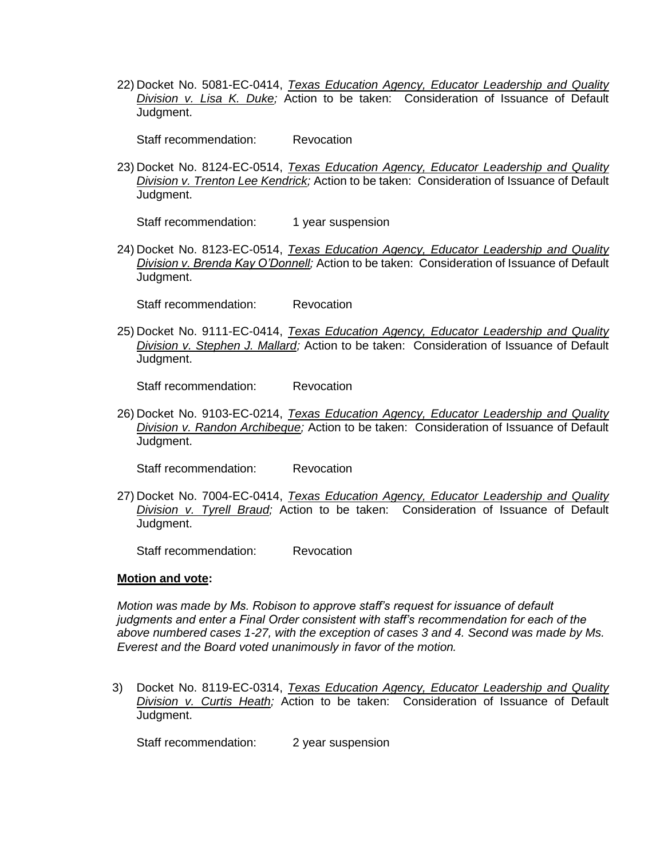22) Docket No. 5081-EC-0414, *Texas Education Agency, Educator Leadership and Quality Division v. Lisa K. Duke;* Action to be taken: Consideration of Issuance of Default Judgment.

Staff recommendation: Revocation

23) Docket No. 8124-EC-0514, *Texas Education Agency, Educator Leadership and Quality Division v. Trenton Lee Kendrick;* Action to be taken: Consideration of Issuance of Default Judgment.

Staff recommendation: 1 year suspension

24) Docket No. 8123-EC-0514, *Texas Education Agency, Educator Leadership and Quality Division v. Brenda Kay O'Donnell;* Action to be taken: Consideration of Issuance of Default Judgment.

Staff recommendation: Revocation

25) Docket No. 9111-EC-0414, *Texas Education Agency, Educator Leadership and Quality Division v. Stephen J. Mallard;* Action to be taken: Consideration of Issuance of Default Judgment.

Staff recommendation: Revocation

26) Docket No. 9103-EC-0214, *Texas Education Agency, Educator Leadership and Quality Division v. Randon Archibeque;* Action to be taken: Consideration of Issuance of Default Judgment.

Staff recommendation: Revocation

27) Docket No. 7004-EC-0414, *Texas Education Agency, Educator Leadership and Quality Division v. Tyrell Braud;* Action to be taken: Consideration of Issuance of Default Judgment.

Staff recommendation: Revocation

#### **Motion and vote:**

*Motion was made by Ms. Robison to approve staff's request for issuance of default judgments and enter a Final Order consistent with staff's recommendation for each of the above numbered cases 1-27, with the exception of cases 3 and 4. Second was made by Ms. Everest and the Board voted unanimously in favor of the motion.*

3) Docket No. 8119-EC-0314, *Texas Education Agency, Educator Leadership and Quality Division v. Curtis Heath;* Action to be taken: Consideration of Issuance of Default Judgment.

Staff recommendation: 2 year suspension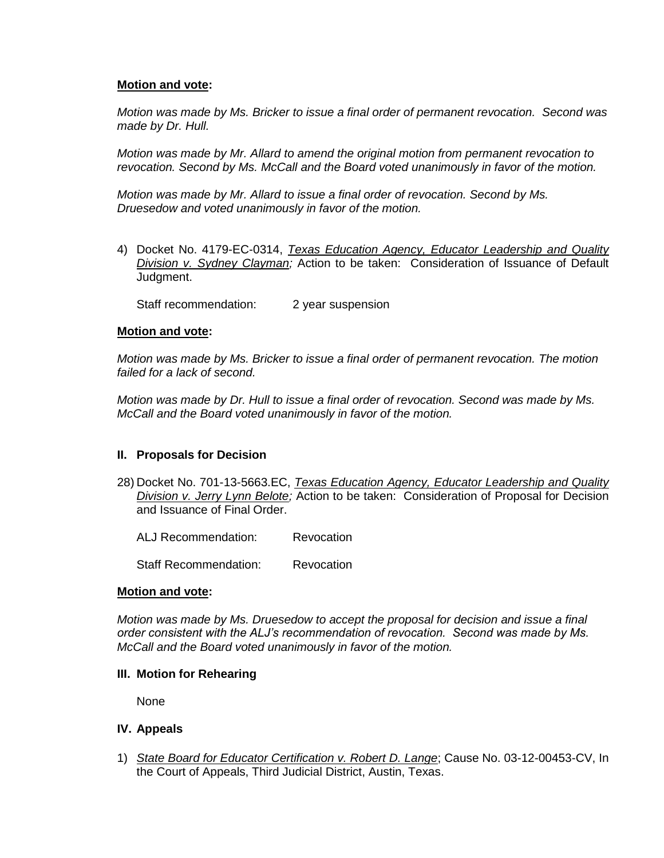*Motion was made by Ms. Bricker to issue a final order of permanent revocation. Second was made by Dr. Hull.* 

*Motion was made by Mr. Allard to amend the original motion from permanent revocation to revocation. Second by Ms. McCall and the Board voted unanimously in favor of the motion.*

*Motion was made by Mr. Allard to issue a final order of revocation. Second by Ms. Druesedow and voted unanimously in favor of the motion.*

4) Docket No. 4179-EC-0314, *Texas Education Agency, Educator Leadership and Quality Division v. Sydney Clayman;* Action to be taken: Consideration of Issuance of Default Judgment.

Staff recommendation: 2 year suspension

## **Motion and vote:**

*Motion was made by Ms. Bricker to issue a final order of permanent revocation. The motion failed for a lack of second.*

*Motion was made by Dr. Hull to issue a final order of revocation. Second was made by Ms. McCall and the Board voted unanimously in favor of the motion.*

# **II. Proposals for Decision**

28) Docket No. 701-13-5663.EC, *Texas Education Agency, Educator Leadership and Quality Division v. Jerry Lynn Belote;* Action to be taken: Consideration of Proposal for Decision and Issuance of Final Order.

ALJ Recommendation: Revocation

Staff Recommendation: Revocation

#### **Motion and vote:**

*Motion was made by Ms. Druesedow to accept the proposal for decision and issue a final order consistent with the ALJ's recommendation of revocation. Second was made by Ms. McCall and the Board voted unanimously in favor of the motion.*

#### **III. Motion for Rehearing**

None

#### **IV. Appeals**

1) *State Board for Educator Certification v. Robert D. Lange*; Cause No. 03-12-00453-CV, In the Court of Appeals, Third Judicial District, Austin, Texas.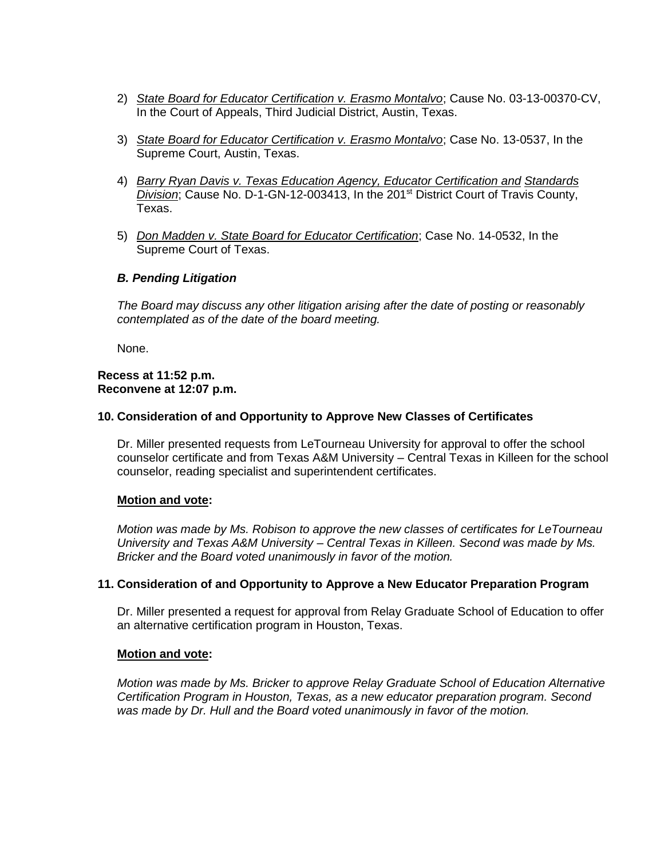- 2) *State Board for Educator Certification v. Erasmo Montalvo*; Cause No. 03-13-00370-CV, In the Court of Appeals, Third Judicial District, Austin, Texas.
- 3) *State Board for Educator Certification v. Erasmo Montalvo*; Case No. 13-0537, In the Supreme Court, Austin, Texas.
- 4) *Barry Ryan Davis v. Texas Education Agency, Educator Certification and Standards*  **Division; Cause No. D-1-GN-12-003413, In the 201<sup>st</sup> District Court of Travis County,** Texas.
- 5) *Don Madden v. State Board for Educator Certification*; Case No. 14-0532, In the Supreme Court of Texas.

## *B. Pending Litigation*

*The Board may discuss any other litigation arising after the date of posting or reasonably contemplated as of the date of the board meeting.*

None.

#### **Recess at 11:52 p.m. Reconvene at 12:07 p.m.**

## **10. Consideration of and Opportunity to Approve New Classes of Certificates**

Dr. Miller presented requests from LeTourneau University for approval to offer the school counselor certificate and from Texas A&M University – Central Texas in Killeen for the school counselor, reading specialist and superintendent certificates.

#### **Motion and vote:**

*Motion was made by Ms. Robison to approve the new classes of certificates for LeTourneau University and Texas A&M University – Central Texas in Killeen. Second was made by Ms. Bricker and the Board voted unanimously in favor of the motion.*

#### **11. Consideration of and Opportunity to Approve a New Educator Preparation Program**

Dr. Miller presented a request for approval from Relay Graduate School of Education to offer an alternative certification program in Houston, Texas.

#### **Motion and vote:**

*Motion was made by Ms. Bricker to approve Relay Graduate School of Education Alternative Certification Program in Houston, Texas, as a new educator preparation program. Second was made by Dr. Hull and the Board voted unanimously in favor of the motion.*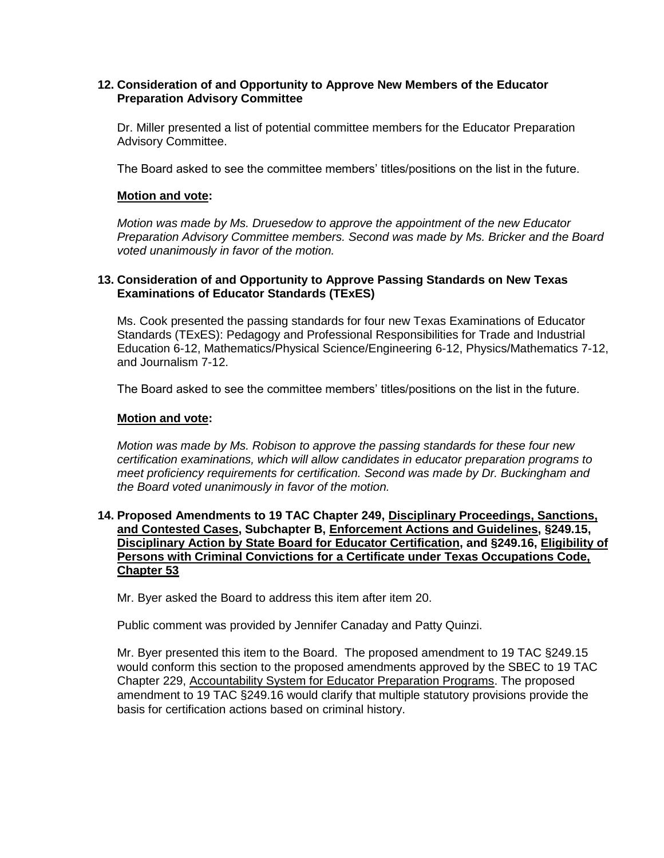## **12. Consideration of and Opportunity to Approve New Members of the Educator Preparation Advisory Committee**

Dr. Miller presented a list of potential committee members for the Educator Preparation Advisory Committee.

The Board asked to see the committee members' titles/positions on the list in the future.

## **Motion and vote:**

*Motion was made by Ms. Druesedow to approve the appointment of the new Educator Preparation Advisory Committee members. Second was made by Ms. Bricker and the Board voted unanimously in favor of the motion.*

## **13. Consideration of and Opportunity to Approve Passing Standards on New Texas Examinations of Educator Standards (TExES)**

Ms. Cook presented the passing standards for four new Texas Examinations of Educator Standards (TExES): Pedagogy and Professional Responsibilities for Trade and Industrial Education 6-12, Mathematics/Physical Science/Engineering 6-12, Physics/Mathematics 7-12, and Journalism 7-12.

The Board asked to see the committee members' titles/positions on the list in the future.

## **Motion and vote:**

*Motion was made by Ms. Robison to approve the passing standards for these four new certification examinations, which will allow candidates in educator preparation programs to meet proficiency requirements for certification. Second was made by Dr. Buckingham and the Board voted unanimously in favor of the motion.*

#### **14. Proposed Amendments to 19 TAC Chapter 249, Disciplinary Proceedings, Sanctions, and Contested Cases, Subchapter B, Enforcement Actions and Guidelines, §249.15, Disciplinary Action by State Board for Educator Certification, and §249.16, Eligibility of Persons with Criminal Convictions for a Certificate under Texas Occupations Code, Chapter 53**

Mr. Byer asked the Board to address this item after item 20.

Public comment was provided by Jennifer Canaday and Patty Quinzi.

Mr. Byer presented this item to the Board. The proposed amendment to 19 TAC §249.15 would conform this section to the proposed amendments approved by the SBEC to 19 TAC Chapter 229, Accountability System for Educator Preparation Programs. The proposed amendment to 19 TAC §249.16 would clarify that multiple statutory provisions provide the basis for certification actions based on criminal history.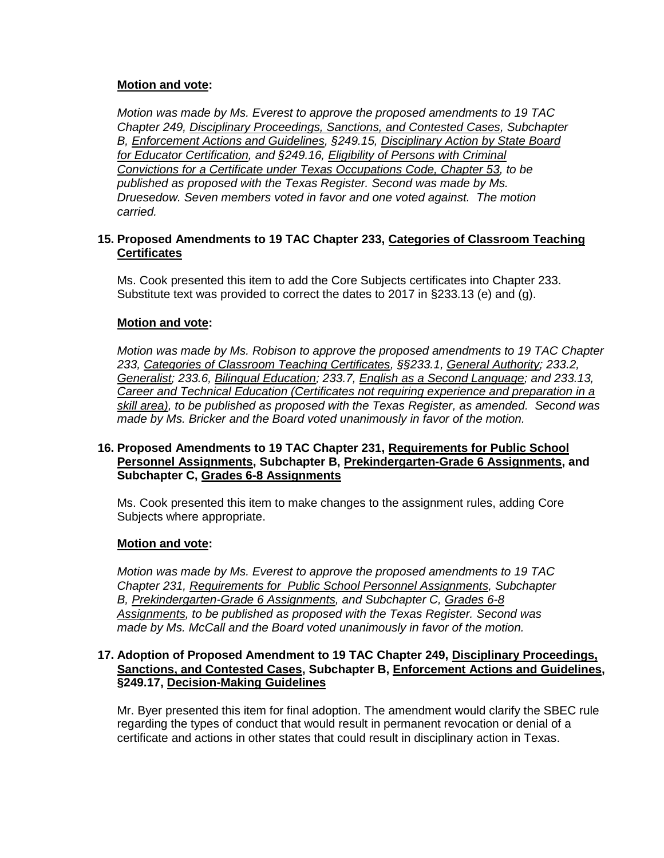*Motion was made by Ms. Everest to approve the proposed amendments to 19 TAC Chapter 249, Disciplinary Proceedings, Sanctions, and Contested Cases, Subchapter B, Enforcement Actions and Guidelines, §249.15, Disciplinary Action by State Board for Educator Certification, and §249.16, Eligibility of Persons with Criminal Convictions for a Certificate under Texas Occupations Code, Chapter 53, to be published as proposed with the Texas Register. Second was made by Ms. Druesedow. Seven members voted in favor and one voted against. The motion carried.*

# **15. Proposed Amendments to 19 TAC Chapter 233, Categories of Classroom Teaching Certificates**

Ms. Cook presented this item to add the Core Subjects certificates into Chapter 233. Substitute text was provided to correct the dates to 2017 in §233.13 (e) and (g).

## **Motion and vote:**

*Motion was made by Ms. Robison to approve the proposed amendments to 19 TAC Chapter 233, Categories of Classroom Teaching Certificates, §§233.1, General Authority; 233.2, Generalist; 233.6, Bilingual Education; 233.7, English as a Second Language; and 233.13, Career and Technical Education (Certificates not requiring experience and preparation in a skill area), to be published as proposed with the Texas Register, as amended. Second was made by Ms. Bricker and the Board voted unanimously in favor of the motion.*

## **16. Proposed Amendments to 19 TAC Chapter 231, Requirements for Public School Personnel Assignments, Subchapter B, Prekindergarten-Grade 6 Assignments, and Subchapter C, Grades 6-8 Assignments**

Ms. Cook presented this item to make changes to the assignment rules, adding Core Subjects where appropriate.

#### **Motion and vote:**

*Motion was made by Ms. Everest to approve the proposed amendments to 19 TAC Chapter 231, Requirements for Public School Personnel Assignments, Subchapter B, Prekindergarten-Grade 6 Assignments, and Subchapter C, Grades 6-8 Assignments, to be published as proposed with the Texas Register. Second was made by Ms. McCall and the Board voted unanimously in favor of the motion.*

#### **17. Adoption of Proposed Amendment to 19 TAC Chapter 249, Disciplinary Proceedings, Sanctions, and Contested Cases, Subchapter B, Enforcement Actions and Guidelines, §249.17, Decision-Making Guidelines**

Mr. Byer presented this item for final adoption. The amendment would clarify the SBEC rule regarding the types of conduct that would result in permanent revocation or denial of a certificate and actions in other states that could result in disciplinary action in Texas.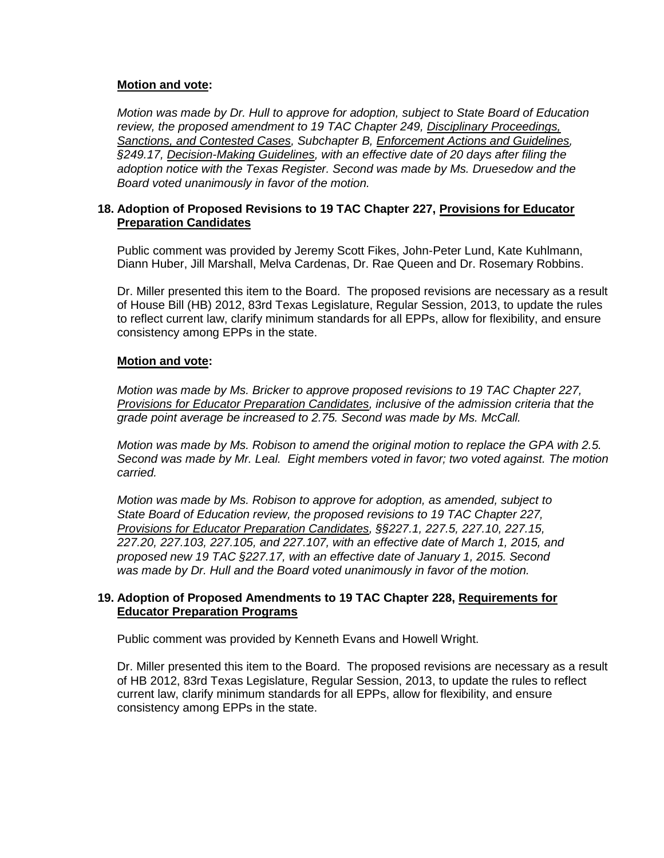*Motion was made by Dr. Hull to approve for adoption, subject to State Board of Education review, the proposed amendment to 19 TAC Chapter 249, Disciplinary Proceedings, Sanctions, and Contested Cases, Subchapter B, Enforcement Actions and Guidelines, §249.17, Decision-Making Guidelines, with an effective date of 20 days after filing the adoption notice with the Texas Register. Second was made by Ms. Druesedow and the Board voted unanimously in favor of the motion.*

## **18. Adoption of Proposed Revisions to 19 TAC Chapter 227, Provisions for Educator Preparation Candidates**

Public comment was provided by Jeremy Scott Fikes, John-Peter Lund, Kate Kuhlmann, Diann Huber, Jill Marshall, Melva Cardenas, Dr. Rae Queen and Dr. Rosemary Robbins.

Dr. Miller presented this item to the Board. The proposed revisions are necessary as a result of House Bill (HB) 2012, 83rd Texas Legislature, Regular Session, 2013, to update the rules to reflect current law, clarify minimum standards for all EPPs, allow for flexibility, and ensure consistency among EPPs in the state.

## **Motion and vote:**

*Motion was made by Ms. Bricker to approve proposed revisions to 19 TAC Chapter 227, Provisions for Educator Preparation Candidates, inclusive of the admission criteria that the grade point average be increased to 2.75. Second was made by Ms. McCall.*

*Motion was made by Ms. Robison to amend the original motion to replace the GPA with 2.5. Second was made by Mr. Leal. Eight members voted in favor; two voted against. The motion carried.*

*Motion was made by Ms. Robison to approve for adoption, as amended, subject to State Board of Education review, the proposed revisions to 19 TAC Chapter 227, Provisions for Educator Preparation Candidates, §§227.1, 227.5, 227.10, 227.15, 227.20, 227.103, 227.105, and 227.107, with an effective date of March 1, 2015, and proposed new 19 TAC §227.17, with an effective date of January 1, 2015. Second was made by Dr. Hull and the Board voted unanimously in favor of the motion.*

## **19. Adoption of Proposed Amendments to 19 TAC Chapter 228, Requirements for Educator Preparation Programs**

Public comment was provided by Kenneth Evans and Howell Wright.

Dr. Miller presented this item to the Board. The proposed revisions are necessary as a result of HB 2012, 83rd Texas Legislature, Regular Session, 2013, to update the rules to reflect current law, clarify minimum standards for all EPPs, allow for flexibility, and ensure consistency among EPPs in the state.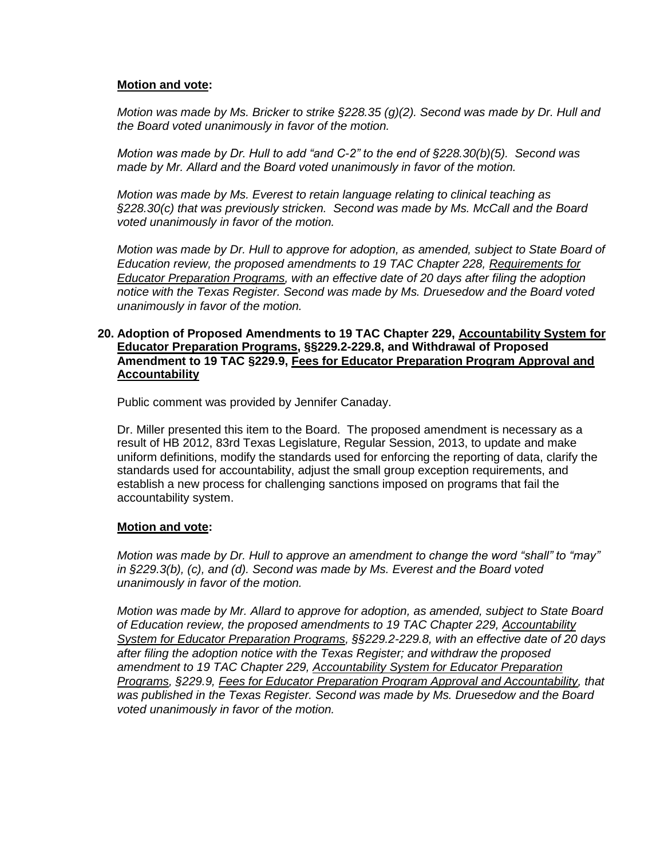*Motion was made by Ms. Bricker to strike §228.35 (g)(2). Second was made by Dr. Hull and the Board voted unanimously in favor of the motion.*

*Motion was made by Dr. Hull to add "and C-2" to the end of §228.30(b)(5). Second was made by Mr. Allard and the Board voted unanimously in favor of the motion.*

*Motion was made by Ms. Everest to retain language relating to clinical teaching as §228.30(c) that was previously stricken. Second was made by Ms. McCall and the Board voted unanimously in favor of the motion.*

*Motion was made by Dr. Hull to approve for adoption, as amended, subject to State Board of Education review, the proposed amendments to 19 TAC Chapter 228, Requirements for Educator Preparation Programs, with an effective date of 20 days after filing the adoption notice with the Texas Register. Second was made by Ms. Druesedow and the Board voted unanimously in favor of the motion.*

#### **20. Adoption of Proposed Amendments to 19 TAC Chapter 229, Accountability System for Educator Preparation Programs, §§229.2-229.8, and Withdrawal of Proposed Amendment to 19 TAC §229.9, Fees for Educator Preparation Program Approval and Accountability**

Public comment was provided by Jennifer Canaday.

Dr. Miller presented this item to the Board. The proposed amendment is necessary as a result of HB 2012, 83rd Texas Legislature, Regular Session, 2013, to update and make uniform definitions, modify the standards used for enforcing the reporting of data, clarify the standards used for accountability, adjust the small group exception requirements, and establish a new process for challenging sanctions imposed on programs that fail the accountability system.

#### **Motion and vote:**

*Motion was made by Dr. Hull to approve an amendment to change the word "shall" to "may" in §229.3(b), (c), and (d). Second was made by Ms. Everest and the Board voted unanimously in favor of the motion.*

*Motion was made by Mr. Allard to approve for adoption, as amended, subject to State Board of Education review, the proposed amendments to 19 TAC Chapter 229, Accountability System for Educator Preparation Programs, §§229.2-229.8, with an effective date of 20 days after filing the adoption notice with the Texas Register; and withdraw the proposed amendment to 19 TAC Chapter 229, Accountability System for Educator Preparation Programs, §229.9, Fees for Educator Preparation Program Approval and Accountability, that was published in the Texas Register. Second was made by Ms. Druesedow and the Board voted unanimously in favor of the motion.*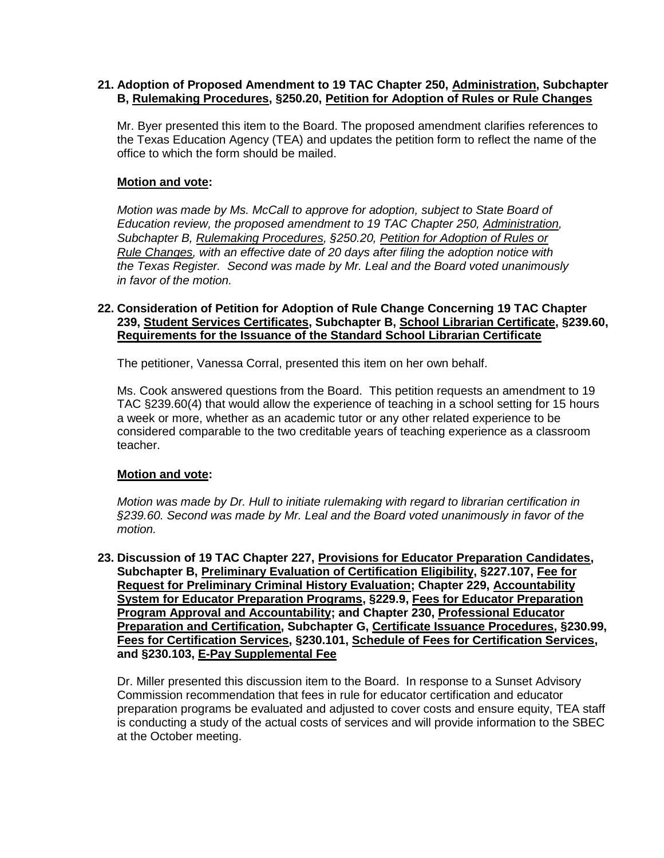## **21. Adoption of Proposed Amendment to 19 TAC Chapter 250, Administration, Subchapter B, Rulemaking Procedures, §250.20, Petition for Adoption of Rules or Rule Changes**

Mr. Byer presented this item to the Board. The proposed amendment clarifies references to the Texas Education Agency (TEA) and updates the petition form to reflect the name of the office to which the form should be mailed.

# **Motion and vote:**

*Motion was made by Ms. McCall to approve for adoption, subject to State Board of Education review, the proposed amendment to 19 TAC Chapter 250, Administration, Subchapter B, Rulemaking Procedures, §250.20, Petition for Adoption of Rules or Rule Changes, with an effective date of 20 days after filing the adoption notice with the Texas Register. Second was made by Mr. Leal and the Board voted unanimously in favor of the motion.*

## **22. Consideration of Petition for Adoption of Rule Change Concerning 19 TAC Chapter 239, Student Services Certificates, Subchapter B, School Librarian Certificate, §239.60, Requirements for the Issuance of the Standard School Librarian Certificate**

The petitioner, Vanessa Corral, presented this item on her own behalf.

Ms. Cook answered questions from the Board. This petition requests an amendment to 19 TAC §239.60(4) that would allow the experience of teaching in a school setting for 15 hours a week or more, whether as an academic tutor or any other related experience to be considered comparable to the two creditable years of teaching experience as a classroom teacher.

# **Motion and vote:**

*Motion was made by Dr. Hull to initiate rulemaking with regard to librarian certification in §239.60. Second was made by Mr. Leal and the Board voted unanimously in favor of the motion.*

**23. Discussion of 19 TAC Chapter 227, Provisions for Educator Preparation Candidates, Subchapter B, Preliminary Evaluation of Certification Eligibility, §227.107, Fee for Request for Preliminary Criminal History Evaluation; Chapter 229, Accountability System for Educator Preparation Programs, §229.9, Fees for Educator Preparation Program Approval and Accountability; and Chapter 230, Professional Educator Preparation and Certification, Subchapter G, Certificate Issuance Procedures, §230.99, Fees for Certification Services, §230.101, Schedule of Fees for Certification Services, and §230.103, E-Pay Supplemental Fee**

Dr. Miller presented this discussion item to the Board. In response to a Sunset Advisory Commission recommendation that fees in rule for educator certification and educator preparation programs be evaluated and adjusted to cover costs and ensure equity, TEA staff is conducting a study of the actual costs of services and will provide information to the SBEC at the October meeting.